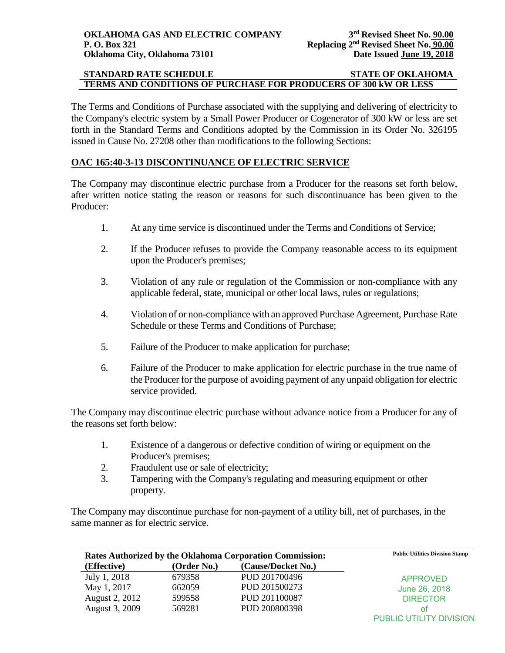### **STANDARD RATE SCHEDULE STATE OF OKLAHOMA TERMS AND CONDITIONS OF PURCHASE FOR PRODUCERS OF 300 kW OR LESS**

The Terms and Conditions of Purchase associated with the supplying and delivering of electricity to the Company's electric system by a Small Power Producer or Cogenerator of 300 kW or less are set forth in the Standard Terms and Conditions adopted by the Commission in its Order No. 326195 issued in Cause No. 27208 other than modifications to the following Sections:

## **OAC 165:40-3-13 DISCONTINUANCE OF ELECTRIC SERVICE**

The Company may discontinue electric purchase from a Producer for the reasons set forth below, after written notice stating the reason or reasons for such discontinuance has been given to the Producer:

- 1. At any time service is discontinued under the Terms and Conditions of Service;
- 2. If the Producer refuses to provide the Company reasonable access to its equipment upon the Producer's premises;
- 3. Violation of any rule or regulation of the Commission or non-compliance with any applicable federal, state, municipal or other local laws, rules or regulations;
- 4. Violation of or non-compliance with an approved Purchase Agreement, Purchase Rate Schedule or these Terms and Conditions of Purchase;
- 5. Failure of the Producer to make application for purchase;
- 6. Failure of the Producer to make application for electric purchase in the true name of the Producer for the purpose of avoiding payment of any unpaid obligation for electric service provided.

The Company may discontinue electric purchase without advance notice from a Producer for any of the reasons set forth below:

- 1. Existence of a dangerous or defective condition of wiring or equipment on the Producer's premises;
- 2. Fraudulent use or sale of electricity;
- 3. Tampering with the Company's regulating and measuring equipment or other property.

The Company may discontinue purchase for non-payment of a utility bill, net of purchases, in the same manner as for electric service.

|                | Rates Authorized by the Oklahoma Corporation Commission: | <b>Public Utilities Division Stamp</b> |                         |
|----------------|----------------------------------------------------------|----------------------------------------|-------------------------|
| (Effective)    | (Order No.)                                              | (Cause/Docket No.)                     |                         |
| July 1, 2018   | 679358                                                   | PUD 201700496                          | <b>APPROVED</b>         |
| May 1, 2017    | 662059                                                   | PUD 201500273                          | June 26, 2018           |
| August 2, 2012 | 599558                                                   | PUD 201100087                          | <b>DIRECTOR</b>         |
| August 3, 2009 | 569281                                                   | PUD 200800398                          | Ωt                      |
|                |                                                          |                                        | PUBLIC UTILITY DIVISION |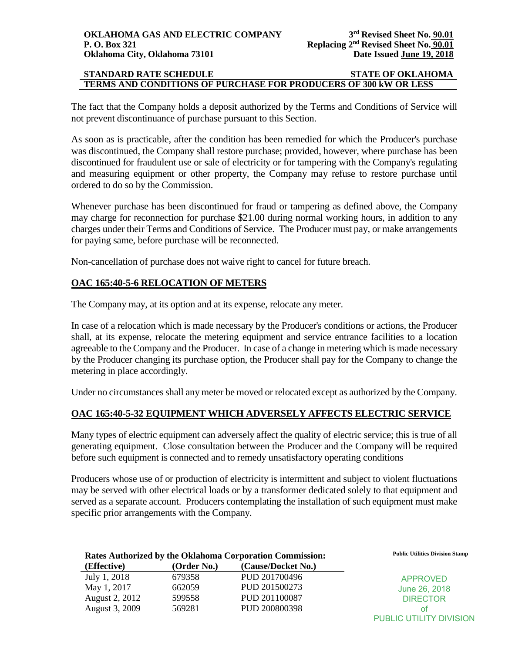### **STANDARD RATE SCHEDULE STATE OF OKLAHOMA TERMS AND CONDITIONS OF PURCHASE FOR PRODUCERS OF 300 kW OR LESS**

The fact that the Company holds a deposit authorized by the Terms and Conditions of Service will not prevent discontinuance of purchase pursuant to this Section.

As soon as is practicable, after the condition has been remedied for which the Producer's purchase was discontinued, the Company shall restore purchase; provided, however, where purchase has been discontinued for fraudulent use or sale of electricity or for tampering with the Company's regulating and measuring equipment or other property, the Company may refuse to restore purchase until ordered to do so by the Commission.

Whenever purchase has been discontinued for fraud or tampering as defined above, the Company may charge for reconnection for purchase \$21.00 during normal working hours, in addition to any charges under their Terms and Conditions of Service. The Producer must pay, or make arrangements for paying same, before purchase will be reconnected.

Non-cancellation of purchase does not waive right to cancel for future breach.

# **OAC 165:40-5-6 RELOCATION OF METERS**

The Company may, at its option and at its expense, relocate any meter.

In case of a relocation which is made necessary by the Producer's conditions or actions, the Producer shall, at its expense, relocate the metering equipment and service entrance facilities to a location agreeable to the Company and the Producer. In case of a change in metering which is made necessary by the Producer changing its purchase option, the Producer shall pay for the Company to change the metering in place accordingly.

Under no circumstances shall any meter be moved or relocated except as authorized by the Company.

# **OAC 165:40-5-32 EQUIPMENT WHICH ADVERSELY AFFECTS ELECTRIC SERVICE**

Many types of electric equipment can adversely affect the quality of electric service; this is true of all generating equipment. Close consultation between the Producer and the Company will be required before such equipment is connected and to remedy unsatisfactory operating conditions

Producers whose use of or production of electricity is intermittent and subject to violent fluctuations may be served with other electrical loads or by a transformer dedicated solely to that equipment and served as a separate account. Producers contemplating the installation of such equipment must make specific prior arrangements with the Company.

| Rates Authorized by the Oklahoma Corporation Commission: | <b>Public Utilities Division Stamp</b> |                    |                         |
|----------------------------------------------------------|----------------------------------------|--------------------|-------------------------|
| (Effective)                                              | (Order No.)                            | (Cause/Docket No.) |                         |
| July 1, 2018                                             | 679358                                 | PUD 201700496      | <b>APPROVED</b>         |
| May 1, 2017                                              | 662059                                 | PUD 201500273      | June 26, 2018           |
| August 2, 2012                                           | 599558                                 | PUD 201100087      | <b>DIRECTOR</b>         |
| August 3, 2009                                           | 569281                                 | PUD 200800398      | Ωt                      |
|                                                          |                                        |                    | PUBLIC UTILITY DIVISION |